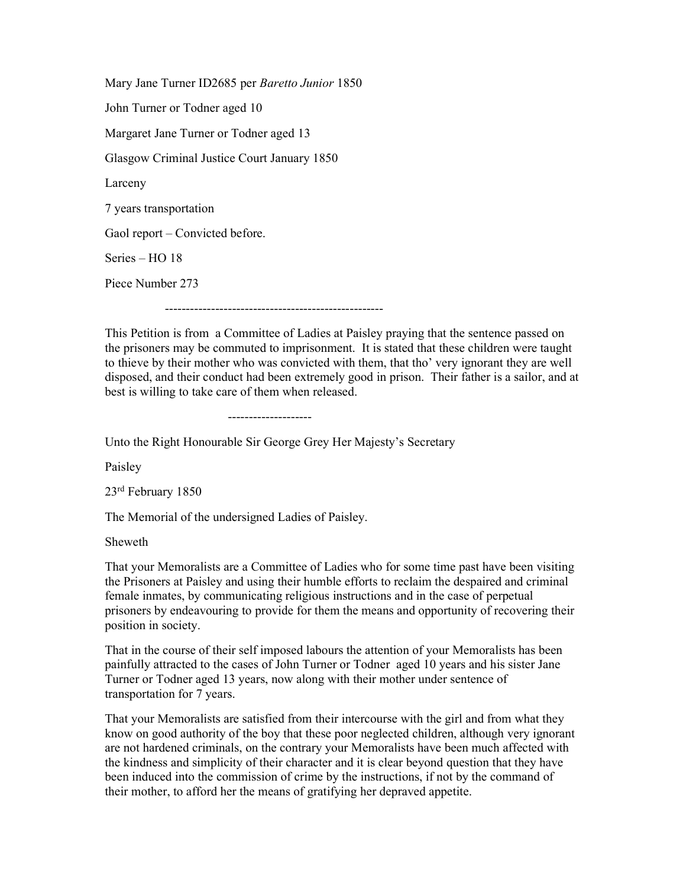Mary Jane Turner ID2685 per Baretto Junior 1850 John Turner or Todner aged 10 Margaret Jane Turner or Todner aged 13 Glasgow Criminal Justice Court January 1850 Larceny 7 years transportation Gaol report – Convicted before. Series – HO 18 Piece Number 273 ----------------------------------------------------

This Petition is from a Committee of Ladies at Paisley praying that the sentence passed on the prisoners may be commuted to imprisonment. It is stated that these children were taught to thieve by their mother who was convicted with them, that tho' very ignorant they are well disposed, and their conduct had been extremely good in prison. Their father is a sailor, and at best is willing to take care of them when released.

--------------------

Unto the Right Honourable Sir George Grey Her Majesty's Secretary

Paisley

23rd February 1850

The Memorial of the undersigned Ladies of Paisley.

Sheweth

That your Memoralists are a Committee of Ladies who for some time past have been visiting the Prisoners at Paisley and using their humble efforts to reclaim the despaired and criminal female inmates, by communicating religious instructions and in the case of perpetual prisoners by endeavouring to provide for them the means and opportunity of recovering their position in society.

That in the course of their self imposed labours the attention of your Memoralists has been painfully attracted to the cases of John Turner or Todner aged 10 years and his sister Jane Turner or Todner aged 13 years, now along with their mother under sentence of transportation for 7 years.

That your Memoralists are satisfied from their intercourse with the girl and from what they know on good authority of the boy that these poor neglected children, although very ignorant are not hardened criminals, on the contrary your Memoralists have been much affected with the kindness and simplicity of their character and it is clear beyond question that they have been induced into the commission of crime by the instructions, if not by the command of their mother, to afford her the means of gratifying her depraved appetite.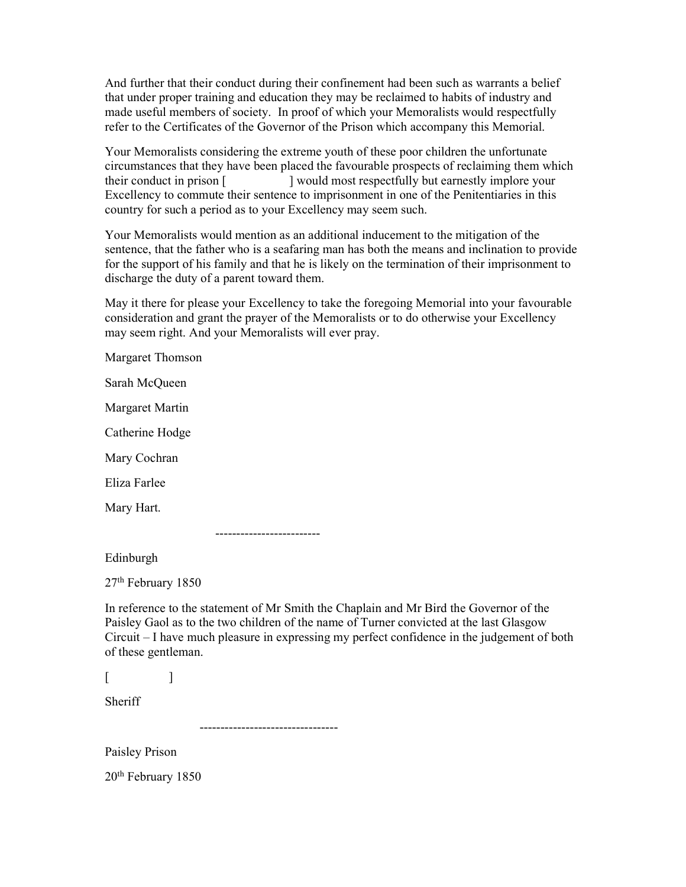And further that their conduct during their confinement had been such as warrants a belief that under proper training and education they may be reclaimed to habits of industry and made useful members of society. In proof of which your Memoralists would respectfully refer to the Certificates of the Governor of the Prison which accompany this Memorial.

Your Memoralists considering the extreme youth of these poor children the unfortunate circumstances that they have been placed the favourable prospects of reclaiming them which their conduct in prison [ ] would most respectfully but earnestly implore your Excellency to commute their sentence to imprisonment in one of the Penitentiaries in this country for such a period as to your Excellency may seem such.

Your Memoralists would mention as an additional inducement to the mitigation of the sentence, that the father who is a seafaring man has both the means and inclination to provide for the support of his family and that he is likely on the termination of their imprisonment to discharge the duty of a parent toward them.

May it there for please your Excellency to take the foregoing Memorial into your favourable consideration and grant the prayer of the Memoralists or to do otherwise your Excellency may seem right. And your Memoralists will ever pray.

Margaret Thomson

Sarah McQueen

Margaret Martin

Catherine Hodge

Mary Cochran

Eliza Farlee

Mary Hart.

-------------------------

Edinburgh

27th February 1850

In reference to the statement of Mr Smith the Chaplain and Mr Bird the Governor of the Paisley Gaol as to the two children of the name of Turner convicted at the last Glasgow Circuit – I have much pleasure in expressing my perfect confidence in the judgement of both of these gentleman.

| I      |  |  |  |
|--------|--|--|--|
|        |  |  |  |
| I<br>_ |  |  |  |

 $\mathbf{1}$ 

Sheriff

---------------------------------

Paisley Prison

20th February 1850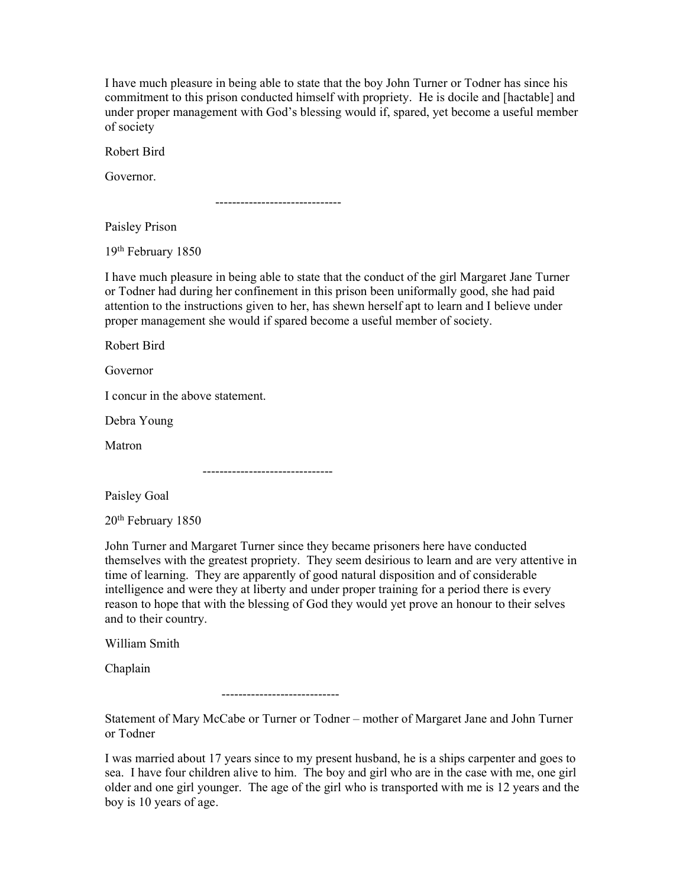I have much pleasure in being able to state that the boy John Turner or Todner has since his commitment to this prison conducted himself with propriety. He is docile and [hactable] and under proper management with God's blessing would if, spared, yet become a useful member of society

Robert Bird

Governor.

------------------------------

Paisley Prison

19th February 1850

I have much pleasure in being able to state that the conduct of the girl Margaret Jane Turner or Todner had during her confinement in this prison been uniformally good, she had paid attention to the instructions given to her, has shewn herself apt to learn and I believe under proper management she would if spared become a useful member of society.

Robert Bird

Governor

I concur in the above statement.

Debra Young

Matron

-------------------------------

Paisley Goal

20th February 1850

John Turner and Margaret Turner since they became prisoners here have conducted themselves with the greatest propriety. They seem desirious to learn and are very attentive in time of learning. They are apparently of good natural disposition and of considerable intelligence and were they at liberty and under proper training for a period there is every reason to hope that with the blessing of God they would yet prove an honour to their selves and to their country.

William Smith

Chaplain

----------------------------

Statement of Mary McCabe or Turner or Todner – mother of Margaret Jane and John Turner or Todner

I was married about 17 years since to my present husband, he is a ships carpenter and goes to sea. I have four children alive to him. The boy and girl who are in the case with me, one girl older and one girl younger. The age of the girl who is transported with me is 12 years and the boy is 10 years of age.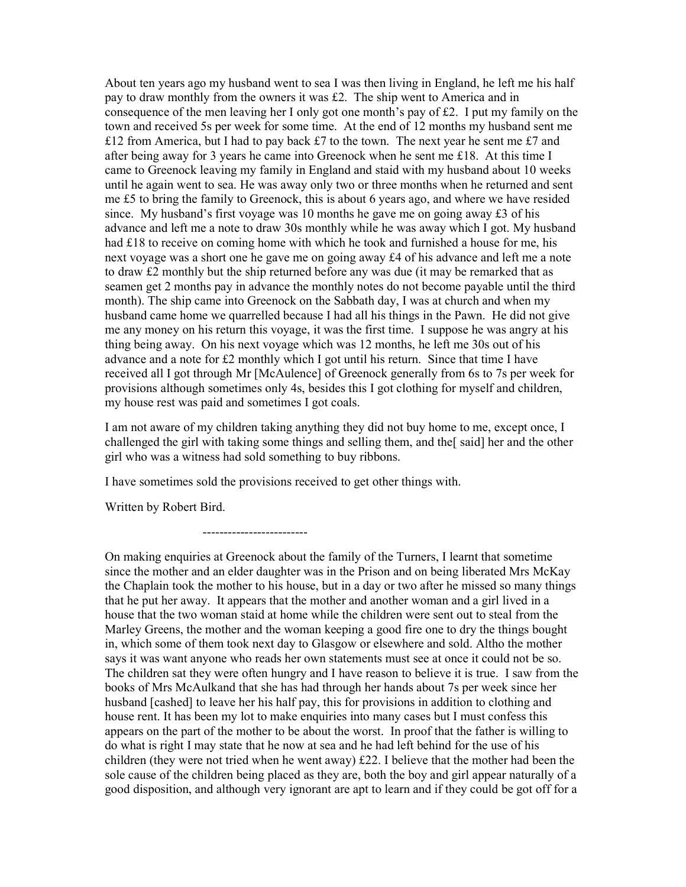About ten years ago my husband went to sea I was then living in England, he left me his half pay to draw monthly from the owners it was £2. The ship went to America and in consequence of the men leaving her I only got one month's pay of £2. I put my family on the town and received 5s per week for some time. At the end of 12 months my husband sent me £12 from America, but I had to pay back £7 to the town. The next year he sent me £7 and after being away for 3 years he came into Greenock when he sent me £18. At this time I came to Greenock leaving my family in England and staid with my husband about 10 weeks until he again went to sea. He was away only two or three months when he returned and sent me £5 to bring the family to Greenock, this is about 6 years ago, and where we have resided since. My husband's first voyage was 10 months he gave me on going away  $\pounds 3$  of his advance and left me a note to draw 30s monthly while he was away which I got. My husband had £18 to receive on coming home with which he took and furnished a house for me, his next voyage was a short one he gave me on going away £4 of his advance and left me a note to draw £2 monthly but the ship returned before any was due (it may be remarked that as seamen get 2 months pay in advance the monthly notes do not become payable until the third month). The ship came into Greenock on the Sabbath day, I was at church and when my husband came home we quarrelled because I had all his things in the Pawn. He did not give me any money on his return this voyage, it was the first time. I suppose he was angry at his thing being away. On his next voyage which was 12 months, he left me 30s out of his advance and a note for £2 monthly which I got until his return. Since that time I have received all I got through Mr [McAulence] of Greenock generally from 6s to 7s per week for provisions although sometimes only 4s, besides this I got clothing for myself and children, my house rest was paid and sometimes I got coals.

I am not aware of my children taking anything they did not buy home to me, except once, I challenged the girl with taking some things and selling them, and the said] her and the other girl who was a witness had sold something to buy ribbons.

I have sometimes sold the provisions received to get other things with.

Written by Robert Bird.

-------------------------

On making enquiries at Greenock about the family of the Turners, I learnt that sometime since the mother and an elder daughter was in the Prison and on being liberated Mrs McKay the Chaplain took the mother to his house, but in a day or two after he missed so many things that he put her away. It appears that the mother and another woman and a girl lived in a house that the two woman staid at home while the children were sent out to steal from the Marley Greens, the mother and the woman keeping a good fire one to dry the things bought in, which some of them took next day to Glasgow or elsewhere and sold. Altho the mother says it was want anyone who reads her own statements must see at once it could not be so. The children sat they were often hungry and I have reason to believe it is true. I saw from the books of Mrs McAulkand that she has had through her hands about 7s per week since her husband [cashed] to leave her his half pay, this for provisions in addition to clothing and house rent. It has been my lot to make enquiries into many cases but I must confess this appears on the part of the mother to be about the worst. In proof that the father is willing to do what is right I may state that he now at sea and he had left behind for the use of his children (they were not tried when he went away) £22. I believe that the mother had been the sole cause of the children being placed as they are, both the boy and girl appear naturally of a good disposition, and although very ignorant are apt to learn and if they could be got off for a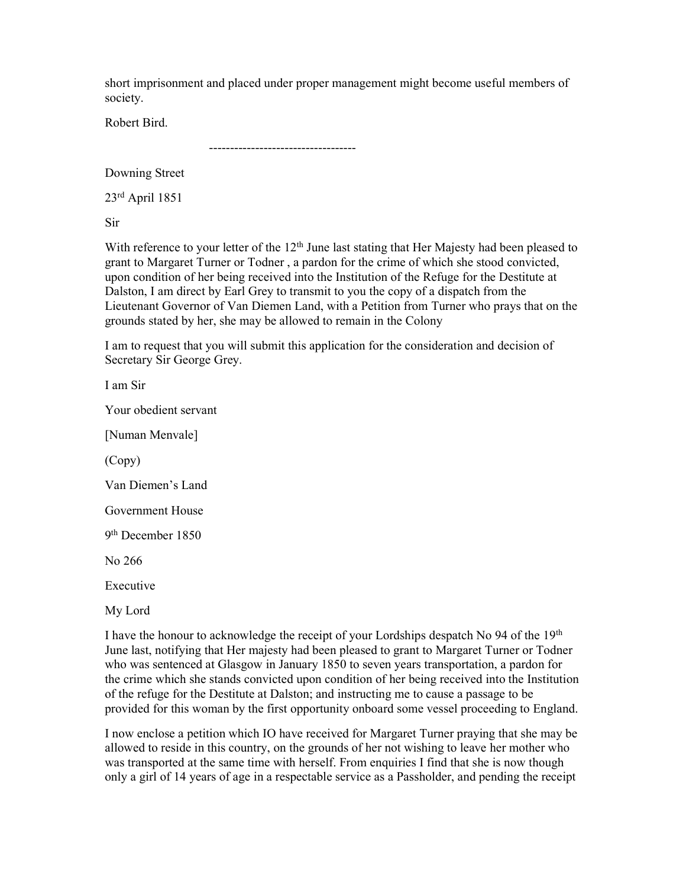short imprisonment and placed under proper management might become useful members of society.

Robert Bird.

-----------------------------------

Downing Street

23rd April 1851

Sir

With reference to your letter of the  $12<sup>th</sup>$  June last stating that Her Majesty had been pleased to grant to Margaret Turner or Todner , a pardon for the crime of which she stood convicted, upon condition of her being received into the Institution of the Refuge for the Destitute at Dalston, I am direct by Earl Grey to transmit to you the copy of a dispatch from the Lieutenant Governor of Van Diemen Land, with a Petition from Turner who prays that on the grounds stated by her, she may be allowed to remain in the Colony

I am to request that you will submit this application for the consideration and decision of Secretary Sir George Grey.

I am Sir

Your obedient servant

[Numan Menvale]

(Copy)

Van Diemen's Land

Government House

9 th December 1850

No 266

Executive

My Lord

I have the honour to acknowledge the receipt of your Lordships despatch No 94 of the  $19<sup>th</sup>$ June last, notifying that Her majesty had been pleased to grant to Margaret Turner or Todner who was sentenced at Glasgow in January 1850 to seven years transportation, a pardon for the crime which she stands convicted upon condition of her being received into the Institution of the refuge for the Destitute at Dalston; and instructing me to cause a passage to be provided for this woman by the first opportunity onboard some vessel proceeding to England.

I now enclose a petition which IO have received for Margaret Turner praying that she may be allowed to reside in this country, on the grounds of her not wishing to leave her mother who was transported at the same time with herself. From enquiries I find that she is now though only a girl of 14 years of age in a respectable service as a Passholder, and pending the receipt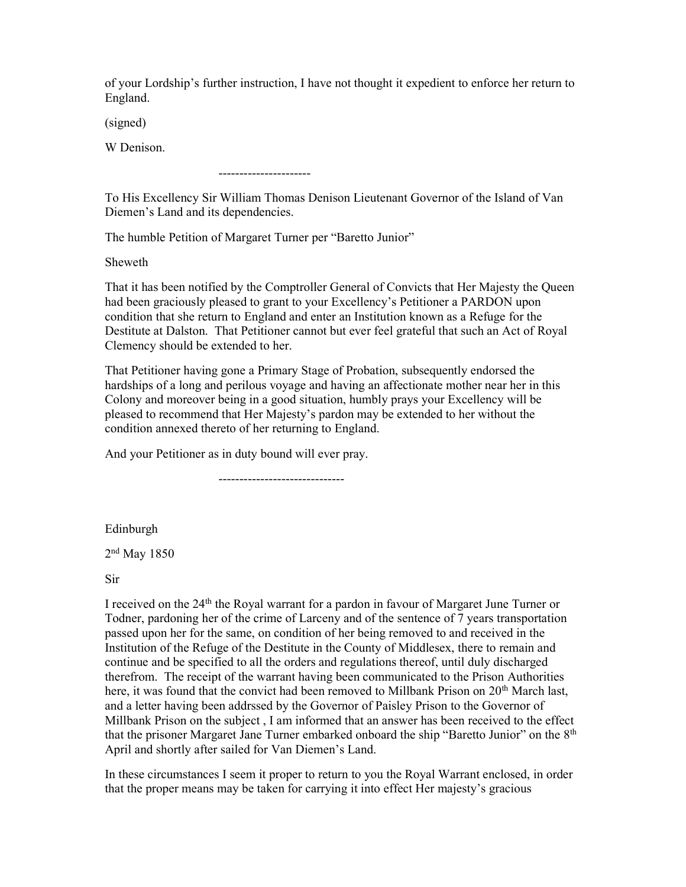of your Lordship's further instruction, I have not thought it expedient to enforce her return to England.

(signed)

W Denison.

----------------------

To His Excellency Sir William Thomas Denison Lieutenant Governor of the Island of Van Diemen's Land and its dependencies.

The humble Petition of Margaret Turner per "Baretto Junior"

Sheweth

That it has been notified by the Comptroller General of Convicts that Her Majesty the Queen had been graciously pleased to grant to your Excellency's Petitioner a PARDON upon condition that she return to England and enter an Institution known as a Refuge for the Destitute at Dalston. That Petitioner cannot but ever feel grateful that such an Act of Royal Clemency should be extended to her.

That Petitioner having gone a Primary Stage of Probation, subsequently endorsed the hardships of a long and perilous voyage and having an affectionate mother near her in this Colony and moreover being in a good situation, humbly prays your Excellency will be pleased to recommend that Her Majesty's pardon may be extended to her without the condition annexed thereto of her returning to England.

And your Petitioner as in duty bound will ever pray.

------------------------------

Edinburgh

2 nd May 1850

Sir

I received on the 24th the Royal warrant for a pardon in favour of Margaret June Turner or Todner, pardoning her of the crime of Larceny and of the sentence of 7 years transportation passed upon her for the same, on condition of her being removed to and received in the Institution of the Refuge of the Destitute in the County of Middlesex, there to remain and continue and be specified to all the orders and regulations thereof, until duly discharged therefrom. The receipt of the warrant having been communicated to the Prison Authorities here, it was found that the convict had been removed to Millbank Prison on  $20<sup>th</sup>$  March last, and a letter having been addrssed by the Governor of Paisley Prison to the Governor of Millbank Prison on the subject , I am informed that an answer has been received to the effect that the prisoner Margaret Jane Turner embarked onboard the ship "Baretto Junior" on the 8<sup>th</sup> April and shortly after sailed for Van Diemen's Land.

In these circumstances I seem it proper to return to you the Royal Warrant enclosed, in order that the proper means may be taken for carrying it into effect Her majesty's gracious